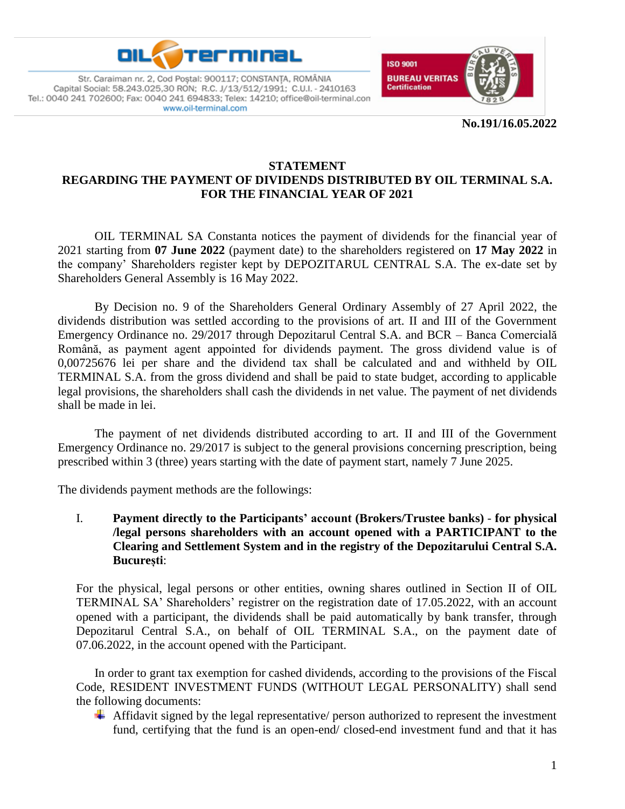



**No.191/16.05.2022**

#### **STATEMENT REGARDING THE PAYMENT OF DIVIDENDS DISTRIBUTED BY OIL TERMINAL S.A. FOR THE FINANCIAL YEAR OF 2021**

OIL TERMINAL SA Constanta notices the payment of dividends for the financial year of 2021 starting from **07 June 2022** (payment date) to the shareholders registered on **17 May 2022** in the company' Shareholders register kept by DEPOZITARUL CENTRAL S.A. The ex-date set by Shareholders General Assembly is 16 May 2022.

By Decision no. 9 of the Shareholders General Ordinary Assembly of 27 April 2022, the dividends distribution was settled according to the provisions of art. II and III of the Government Emergency Ordinance no. 29/2017 through Depozitarul Central S.A. and BCR – Banca Comercială Română, as payment agent appointed for dividends payment. The gross dividend value is of 0,00725676 lei per share and the dividend tax shall be calculated and and withheld by OIL TERMINAL S.A. from the gross dividend and shall be paid to state budget, according to applicable legal provisions, the shareholders shall cash the dividends in net value. The payment of net dividends shall be made in lei.

The payment of net dividends distributed according to art. II and III of the Government Emergency Ordinance no. 29/2017 is subject to the general provisions concerning prescription, being prescribed within 3 (three) years starting with the date of payment start, namely 7 June 2025.

The dividends payment methods are the followings:

I. **Payment directly to the Participants' account (Brokers/Trustee banks)** - **for physical /legal persons shareholders with an account opened with a PARTICIPANT to the Clearing and Settlement System and in the registry of the Depozitarului Central S.A. București**:

For the physical, legal persons or other entities, owning shares outlined in Section II of OIL TERMINAL SA' Shareholders' registrer on the registration date of 17.05.2022, with an account opened with a participant, the dividends shall be paid automatically by bank transfer, through Depozitarul Central S.A., on behalf of OIL TERMINAL S.A., on the payment date of 07.06.2022, in the account opened with the Participant.

In order to grant tax exemption for cashed dividends, according to the provisions of the Fiscal Code, RESIDENT INVESTMENT FUNDS (WITHOUT LEGAL PERSONALITY) shall send the following documents:

 $\overline{\phantom{a}}$  Affidavit signed by the legal representative/ person authorized to represent the investment fund, certifying that the fund is an open-end/ closed-end investment fund and that it has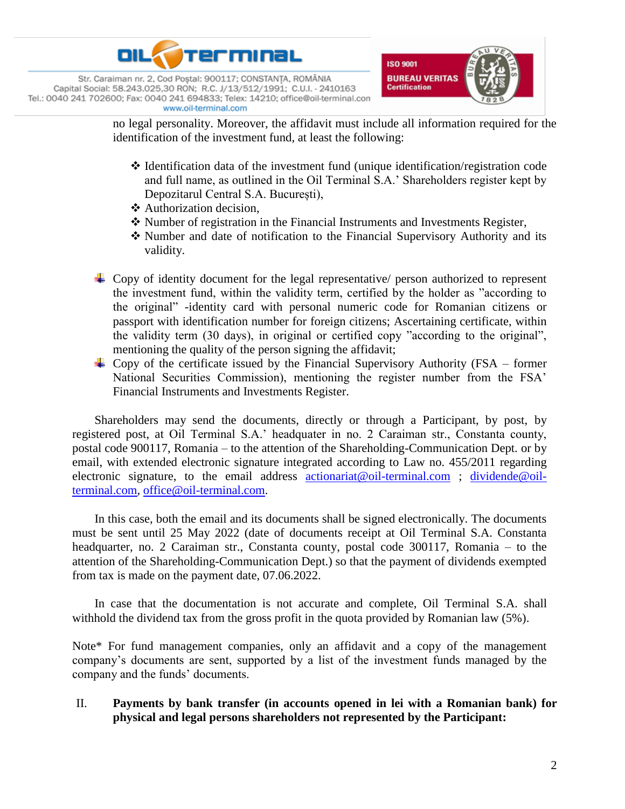



no legal personality. Moreover, the affidavit must include all information required for the identification of the investment fund, at least the following:

- $\triangle$  Identification data of the investment fund (unique identification/registration code and full name, as outlined in the Oil Terminal S.A.' Shareholders register kept by Depozitarul Central S.A. București),
- Authorization decision,
- Number of registration in the Financial Instruments and Investments Register,
- Number and date of notification to the Financial Supervisory Authority and its validity.
- $\overline{\phantom{a}}$  Copy of identity document for the legal representative/ person authorized to represent the investment fund, within the validity term, certified by the holder as "according to the original" -identity card with personal numeric code for Romanian citizens or passport with identification number for foreign citizens; Ascertaining certificate, within the validity term (30 days), in original or certified copy "according to the original", mentioning the quality of the person signing the affidavit;
- $\overline{+}$  Copy of the certificate issued by the Financial Supervisory Authority (FSA former National Securities Commission), mentioning the register number from the FSA' Financial Instruments and Investments Register.

Shareholders may send the documents, directly or through a Participant, by post, by registered post, at Oil Terminal S.A.' headquater in no. 2 Caraiman str., Constanta county, postal code 900117, Romania – to the attention of the Shareholding-Communication Dept. or by email, with extended electronic signature integrated according to Law no. 455/2011 regarding electronic signature, to the email address [actionariat@oil-terminal.com](mailto:actionariat@oil-terminal.com); [dividende@oil](mailto:dividende@oil-terminal.com)[terminal.com,](mailto:dividende@oil-terminal.com) [office@oil-terminal.com.](mailto:office@oil-terminal.com)

In this case, both the email and its documents shall be signed electronically. The documents must be sent until 25 May 2022 (date of documents receipt at Oil Terminal S.A. Constanta headquarter, no. 2 Caraiman str., Constanta county, postal code 300117, Romania – to the attention of the Shareholding-Communication Dept.) so that the payment of dividends exempted from tax is made on the payment date, 07.06.2022.

In case that the documentation is not accurate and complete, Oil Terminal S.A. shall withhold the dividend tax from the gross profit in the quota provided by Romanian law (5%).

Note\* For fund management companies, only an affidavit and a copy of the management company's documents are sent, supported by a list of the investment funds managed by the company and the funds' documents.

### II. **Payments by bank transfer (in accounts opened in lei with a Romanian bank) for physical and legal persons shareholders not represented by the Participant:**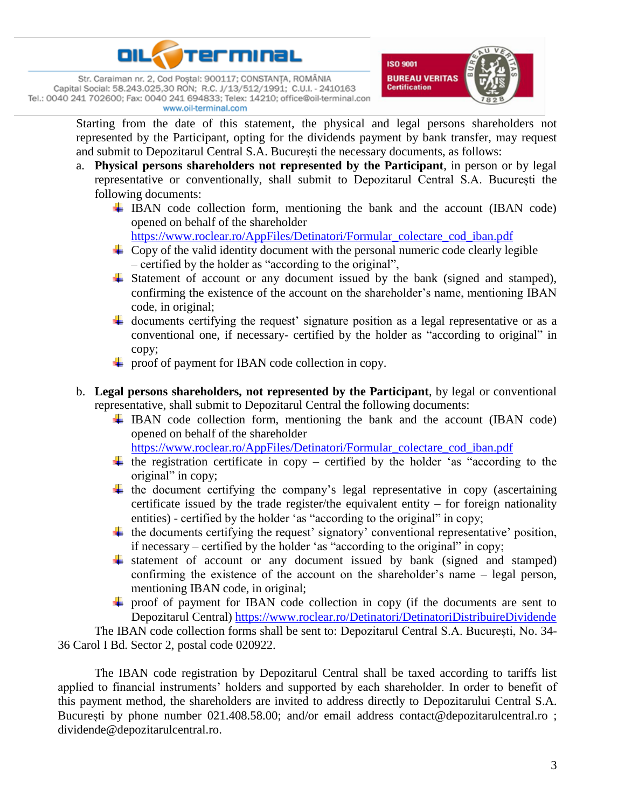



Starting from the date of this statement, the physical and legal persons shareholders not represented by the Participant, opting for the dividends payment by bank transfer, may request and submit to Depozitarul Central S.A. București the necessary documents, as follows:

- a. **Physical persons shareholders not represented by the Participant**, in person or by legal representative or conventionally, shall submit to Depozitarul Central S.A. București the following documents:
	- IBAN code collection form, mentioning the bank and the account (IBAN code) opened on behalf of the shareholder

[https://www.roclear.ro/AppFiles/Detinatori/Formular\\_colectare\\_cod\\_iban.pdf](https://www.roclear.ro/AppFiles/Detinatori/Formular_colectare_cod_iban.pdf)

- $\overline{\phantom{a}}$  Copy of the valid identity document with the personal numeric code clearly legible – certified by the holder as "according to the original",
- Statement of account or any document issued by the bank (signed and stamped), confirming the existence of the account on the shareholder's name, mentioning IBAN code, in original;
- $\ddot{+}$  documents certifying the request' signature position as a legal representative or as a conventional one, if necessary- certified by the holder as "according to original" in copy;
- $\downarrow$  proof of payment for IBAN code collection in copy.
- b. **Legal persons shareholders, not represented by the Participant**, by legal or conventional representative, shall submit to Depozitarul Central the following documents:
	- IBAN code collection form, mentioning the bank and the account (IBAN code) opened on behalf of the shareholder

[https://www.roclear.ro/AppFiles/Detinatori/Formular\\_colectare\\_cod\\_iban.pdf](https://www.roclear.ro/AppFiles/Detinatori/Formular_colectare_cod_iban.pdf)

- $\ddot{+}$  the registration certificate in copy certified by the holder 'as "according to the original" in copy;
- $\ddot{+}$  the document certifying the company's legal representative in copy (ascertaining certificate issued by the trade register/the equivalent entity – for foreign nationality entities) - certified by the holder 'as "according to the original" in copy;
- $\ddot{\text{+}}$  the documents certifying the request' signatory' conventional representative' position, if necessary – certified by the holder 'as "according to the original" in copy;
- statement of account or any document issued by bank (signed and stamped) confirming the existence of the account on the shareholder's name – legal person, mentioning IBAN code, in original;
- $\overline{\text{+}}$  proof of payment for IBAN code collection in copy (if the documents are sent to Depozitarul Central)<https://www.roclear.ro/Detinatori/DetinatoriDistribuireDividende>

The IBAN code collection forms shall be sent to: Depozitarul Central S.A. București, No. 34- 36 Carol I Bd. Sector 2, postal code 020922.

The IBAN code registration by Depozitarul Central shall be taxed according to tariffs list applied to financial instruments' holders and supported by each shareholder. In order to benefit of this payment method, the shareholders are invited to address directly to Depozitarului Central S.A. București by phone number 021.408.58.00; and/or email address contact@depozitarulcentral.ro ; dividende@depozitarulcentral.ro.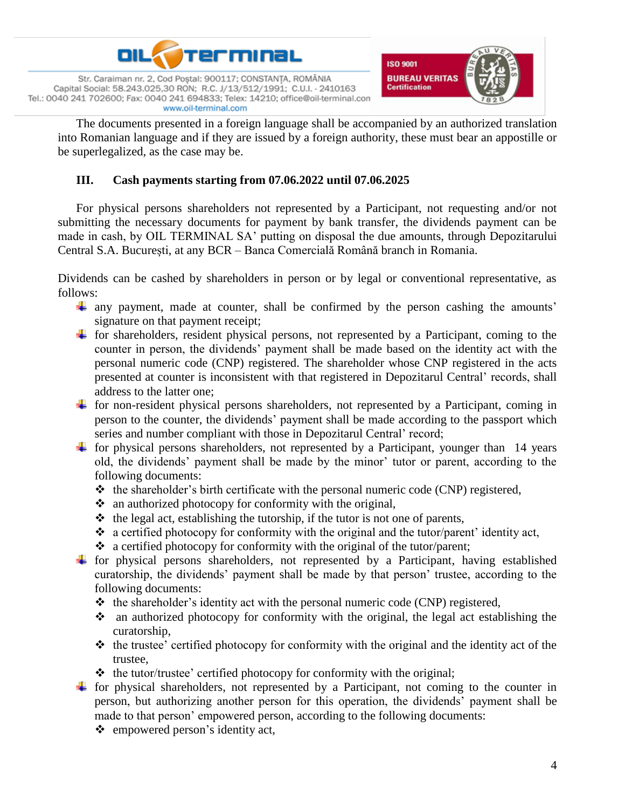



The documents presented in a foreign language shall be accompanied by an authorized translation into Romanian language and if they are issued by a foreign authority, these must bear an appostille or be superlegalized, as the case may be.

# **III. Cash payments starting from 07.06.2022 until 07.06.2025**

For physical persons shareholders not represented by a Participant, not requesting and/or not submitting the necessary documents for payment by bank transfer, the dividends payment can be made in cash, by OIL TERMINAL SA' putting on disposal the due amounts, through Depozitarului Central S.A. București, at any BCR – Banca Comercială Română branch in Romania.

Dividends can be cashed by shareholders in person or by legal or conventional representative, as follows:

- any payment, made at counter, shall be confirmed by the person cashing the amounts' signature on that payment receipt;
- $\pm$  for shareholders, resident physical persons, not represented by a Participant, coming to the counter in person, the dividends' payment shall be made based on the identity act with the personal numeric code (CNP) registered. The shareholder whose CNP registered in the acts presented at counter is inconsistent with that registered in Depozitarul Central' records, shall address to the latter one;
- $\pm$  for non-resident physical persons shareholders, not represented by a Participant, coming in person to the counter, the dividends' payment shall be made according to the passport which series and number compliant with those in Depozitarul Central' record;
- $\pm$  for physical persons shareholders, not represented by a Participant, younger than 14 years old, the dividends' payment shall be made by the minor' tutor or parent, according to the following documents:
	- $\triangleleft$  the shareholder's birth certificate with the personal numeric code (CNP) registered,
	- $\cdot$  an authorized photocopy for conformity with the original,
	- $\triangleleft$  the legal act, establishing the tutorship, if the tutor is not one of parents,
	- \* a certified photocopy for conformity with the original and the tutor/parent' identity act,
	- $\triangleleft$  a certified photocopy for conformity with the original of the tutor/parent;
- for physical persons shareholders, not represented by a Participant, having established curatorship, the dividends' payment shall be made by that person' trustee, according to the following documents:
	- $\triangleleft$  the shareholder's identity act with the personal numeric code (CNP) registered,
	- $\cdot$  an authorized photocopy for conformity with the original, the legal act establishing the curatorship,
	- $\triangle$  the trustee' certified photocopy for conformity with the original and the identity act of the trustee,
	- $\triangleleft$  the tutor/trustee' certified photocopy for conformity with the original;
- $\pm$  for physical shareholders, not represented by a Participant, not coming to the counter in person, but authorizing another person for this operation, the dividends' payment shall be made to that person' empowered person, according to the following documents:
	- empowered person's identity act,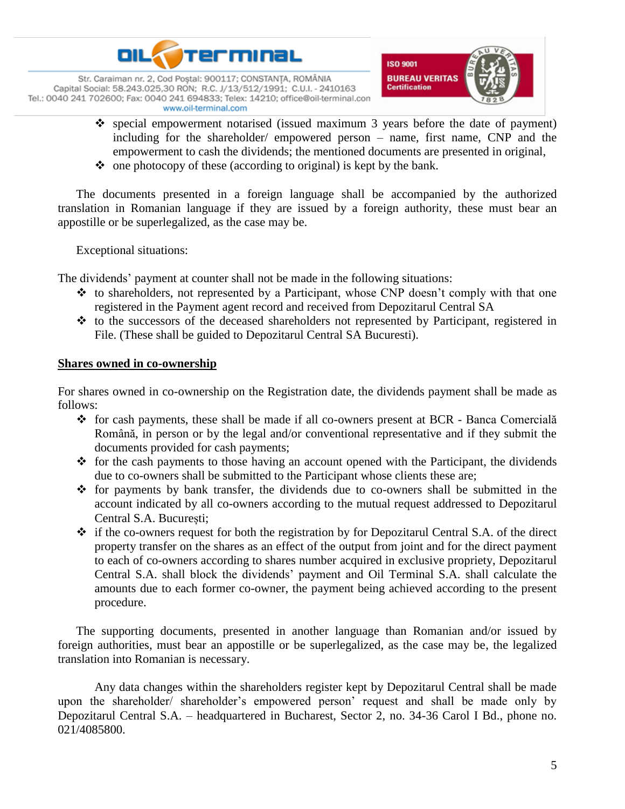



- $\cdot$  special empowerment notarised (issued maximum 3 years before the date of payment) including for the shareholder/ empowered person – name, first name, CNP and the empowerment to cash the dividends; the mentioned documents are presented in original,
- $\bullet$  one photocopy of these (according to original) is kept by the bank.

The documents presented in a foreign language shall be accompanied by the authorized translation in Romanian language if they are issued by a foreign authority, these must bear an appostille or be superlegalized, as the case may be.

Exceptional situations:

The dividends' payment at counter shall not be made in the following situations:

- $\triangle$  to shareholders, not represented by a Participant, whose CNP doesn't comply with that one registered in the Payment agent record and received from Depozitarul Central SA
- $\cdot$  to the successors of the deceased shareholders not represented by Participant, registered in File. (These shall be guided to Depozitarul Central SA Bucuresti).

### **Shares owned in co-ownership**

For shares owned in co-ownership on the Registration date, the dividends payment shall be made as follows:

- $\div$  for cash payments, these shall be made if all co-owners present at BCR Banca Comercială Română, in person or by the legal and/or conventional representative and if they submit the documents provided for cash payments;
- $\triangle$  for the cash payments to those having an account opened with the Participant, the dividends due to co-owners shall be submitted to the Participant whose clients these are;
- $\hat{\mathbf{v}}$  for payments by bank transfer, the dividends due to co-owners shall be submitted in the account indicated by all co-owners according to the mutual request addressed to Depozitarul Central S.A. București;
- $\div$  if the co-owners request for both the registration by for Depozitarul Central S.A. of the direct property transfer on the shares as an effect of the output from joint and for the direct payment to each of co-owners according to shares number acquired in exclusive propriety, Depozitarul Central S.A. shall block the dividends' payment and Oil Terminal S.A. shall calculate the amounts due to each former co-owner, the payment being achieved according to the present procedure.

The supporting documents, presented in another language than Romanian and/or issued by foreign authorities, must bear an appostille or be superlegalized, as the case may be, the legalized translation into Romanian is necessary.

Any data changes within the shareholders register kept by Depozitarul Central shall be made upon the shareholder/ shareholder's empowered person' request and shall be made only by Depozitarul Central S.A. – headquartered in Bucharest, Sector 2, no. 34-36 Carol I Bd., phone no. 021/4085800.